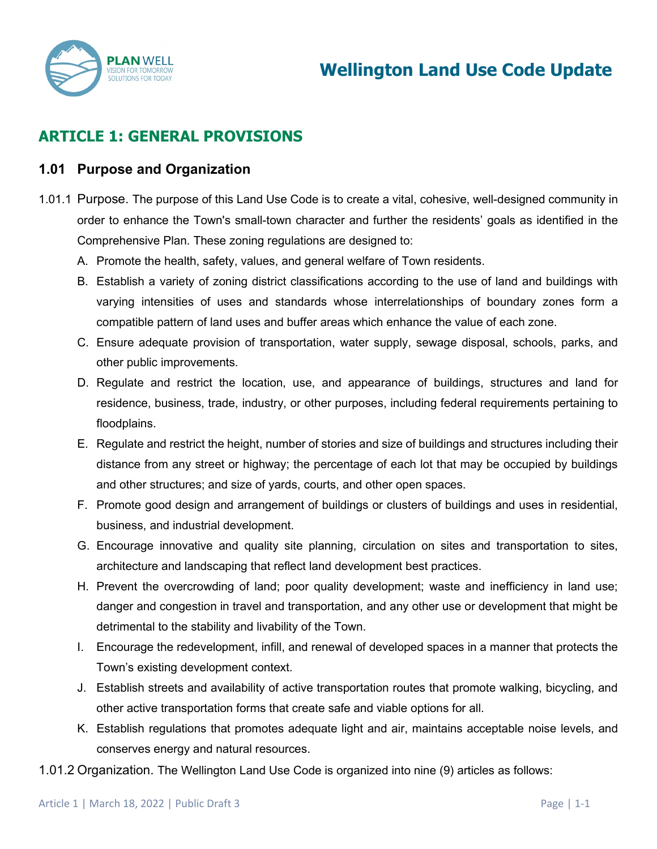

# **ARTICLE 1: GENERAL PROVISIONS**

#### **1.01 Purpose and Organization**

- 1.01.1 Purpose. The purpose of this Land Use Code is to create a vital, cohesive, well-designed community in order to enhance the Town's small-town character and further the residents' goals as identified in the Comprehensive Plan. These zoning regulations are designed to:
	- A. Promote the health, safety, values, and general welfare of Town residents.
	- B. Establish a variety of zoning district classifications according to the use of land and buildings with varying intensities of uses and standards whose interrelationships of boundary zones form a compatible pattern of land uses and buffer areas which enhance the value of each zone.
	- C. Ensure adequate provision of transportation, water supply, sewage disposal, schools, parks, and other public improvements.
	- D. Regulate and restrict the location, use, and appearance of buildings, structures and land for residence, business, trade, industry, or other purposes, including federal requirements pertaining to floodplains.
	- E. Regulate and restrict the height, number of stories and size of buildings and structures including their distance from any street or highway; the percentage of each lot that may be occupied by buildings and other structures; and size of yards, courts, and other open spaces.
	- F. Promote good design and arrangement of buildings or clusters of buildings and uses in residential, business, and industrial development.
	- G. Encourage innovative and quality site planning, circulation on sites and transportation to sites, architecture and landscaping that reflect land development best practices.
	- H. Prevent the overcrowding of land; poor quality development; waste and inefficiency in land use; danger and congestion in travel and transportation, and any other use or development that might be detrimental to the stability and livability of the Town.
	- I. Encourage the redevelopment, infill, and renewal of developed spaces in a manner that protects the Town's existing development context.
	- J. Establish streets and availability of active transportation routes that promote walking, bicycling, and other active transportation forms that create safe and viable options for all.
	- K. Establish regulations that promotes adequate light and air, maintains acceptable noise levels, and conserves energy and natural resources.
- 1.01.2 Organization. The Wellington Land Use Code is organized into nine (9) articles as follows: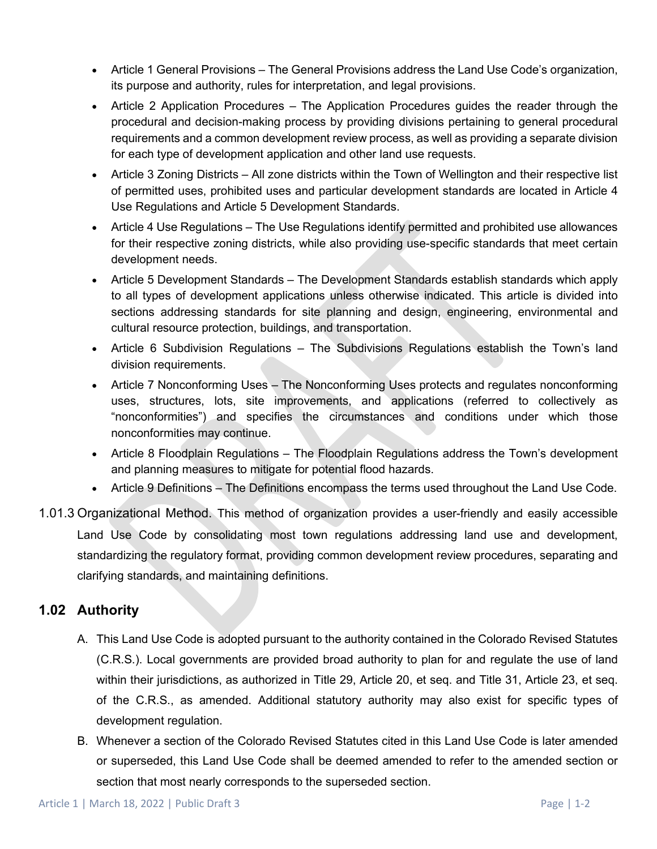- Article 1 General Provisions The General Provisions address the Land Use Code's organization, its purpose and authority, rules for interpretation, and legal provisions.
- Article 2 Application Procedures The Application Procedures guides the reader through the procedural and decision-making process by providing divisions pertaining to general procedural requirements and a common development review process, as well as providing a separate division for each type of development application and other land use requests.
- Article 3 Zoning Districts All zone districts within the Town of Wellington and their respective list of permitted uses, prohibited uses and particular development standards are located in Article 4 Use Regulations and Article 5 Development Standards.
- Article 4 Use Regulations The Use Regulations identify permitted and prohibited use allowances for their respective zoning districts, while also providing use-specific standards that meet certain development needs.
- Article 5 Development Standards The Development Standards establish standards which apply to all types of development applications unless otherwise indicated. This article is divided into sections addressing standards for site planning and design, engineering, environmental and cultural resource protection, buildings, and transportation.
- Article 6 Subdivision Regulations The Subdivisions Regulations establish the Town's land division requirements.
- Article 7 Nonconforming Uses The Nonconforming Uses protects and regulates nonconforming uses, structures, lots, site improvements, and applications (referred to collectively as "nonconformities") and specifies the circumstances and conditions under which those nonconformities may continue.
- Article 8 Floodplain Regulations The Floodplain Regulations address the Town's development and planning measures to mitigate for potential flood hazards.
- Article 9 Definitions The Definitions encompass the terms used throughout the Land Use Code.
- 1.01.3 Organizational Method. This method of organization provides a user-friendly and easily accessible Land Use Code by consolidating most town regulations addressing land use and development, standardizing the regulatory format, providing common development review procedures, separating and clarifying standards, and maintaining definitions.

# **1.02 Authority**

- A. This Land Use Code is adopted pursuant to the authority contained in the Colorado Revised Statutes (C.R.S.). Local governments are provided broad authority to plan for and regulate the use of land within their jurisdictions, as authorized in Title 29, Article 20, et seq. and Title 31, Article 23, et seq. of the C.R.S., as amended. Additional statutory authority may also exist for specific types of development regulation.
- B. Whenever a section of the Colorado Revised Statutes cited in this Land Use Code is later amended or superseded, this Land Use Code shall be deemed amended to refer to the amended section or section that most nearly corresponds to the superseded section.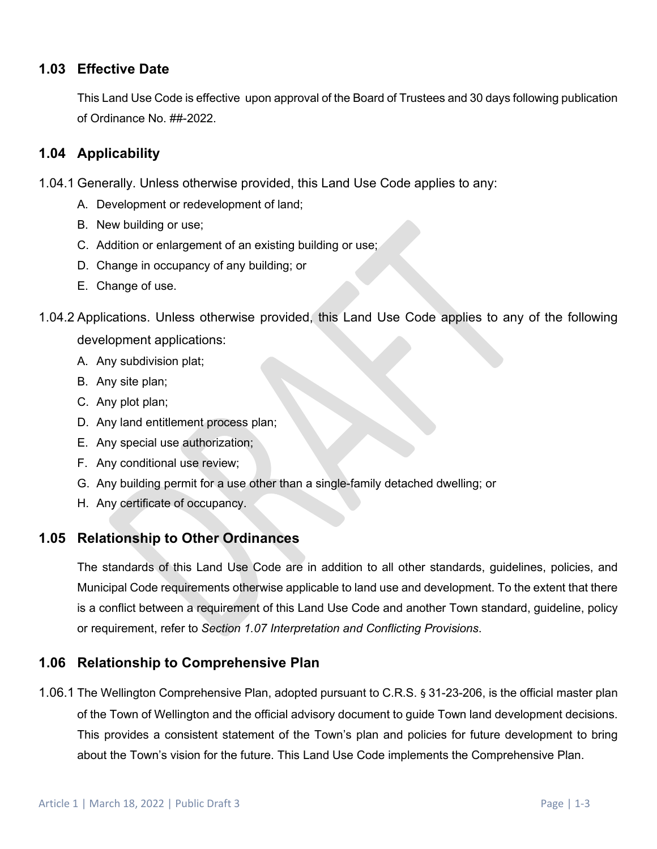### **1.03 Effective Date**

This Land Use Code is effective upon approval of the Board of Trustees and 30 days following publication of Ordinance No. ##-2022.

### **1.04 Applicability**

- 1.04.1 Generally. Unless otherwise provided, this Land Use Code applies to any:
	- A. Development or redevelopment of land;
	- B. New building or use;
	- C. Addition or enlargement of an existing building or use;
	- D. Change in occupancy of any building; or
	- E. Change of use.
- 1.04.2 Applications. Unless otherwise provided, this Land Use Code applies to any of the following development applications:
	- A. Any subdivision plat;
	- B. Any site plan;
	- C. Any plot plan;
	- D. Any land entitlement process plan;
	- E. Any special use authorization;
	- F. Any conditional use review;
	- G. Any building permit for a use other than a single-family detached dwelling; or
	- H. Any certificate of occupancy.

### **1.05 Relationship to Other Ordinances**

The standards of this Land Use Code are in addition to all other standards, guidelines, policies, and Municipal Code requirements otherwise applicable to land use and development. To the extent that there is a conflict between a requirement of this Land Use Code and another Town standard, guideline, policy or requirement, refer to *Section 1.07 Interpretation and Conflicting Provisions*.

### **1.06 Relationship to Comprehensive Plan**

1.06.1 The Wellington Comprehensive Plan, adopted pursuant to C.R.S. § 31-23-206, is the official master plan of the Town of Wellington and the official advisory document to guide Town land development decisions. This provides a consistent statement of the Town's plan and policies for future development to bring about the Town's vision for the future. This Land Use Code implements the Comprehensive Plan.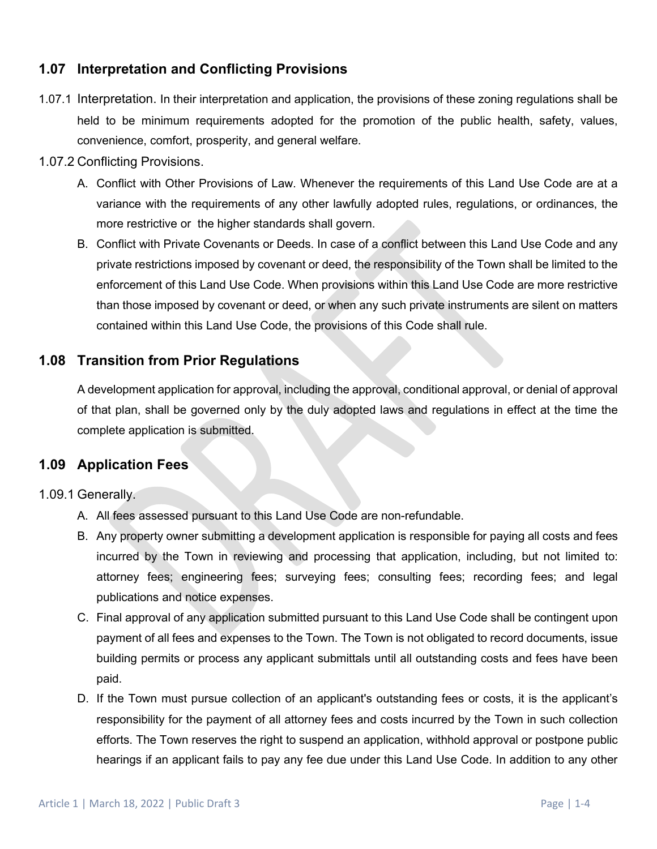# **1.07 Interpretation and Conflicting Provisions**

- 1.07.1 Interpretation. In their interpretation and application, the provisions of these zoning regulations shall be held to be minimum requirements adopted for the promotion of the public health, safety, values, convenience, comfort, prosperity, and general welfare.
- 1.07.2 Conflicting Provisions.
	- A. Conflict with Other Provisions of Law. Whenever the requirements of this Land Use Code are at a variance with the requirements of any other lawfully adopted rules, regulations, or ordinances, the more restrictive or the higher standards shall govern.
	- B. Conflict with Private Covenants or Deeds. In case of a conflict between this Land Use Code and any private restrictions imposed by covenant or deed, the responsibility of the Town shall be limited to the enforcement of this Land Use Code. When provisions within this Land Use Code are more restrictive than those imposed by covenant or deed, or when any such private instruments are silent on matters contained within this Land Use Code, the provisions of this Code shall rule.

### **1.08 Transition from Prior Regulations**

A development application for approval, including the approval, conditional approval, or denial of approval of that plan, shall be governed only by the duly adopted laws and regulations in effect at the time the complete application is submitted.

### **1.09 Application Fees**

#### 1.09.1 Generally.

- A. All fees assessed pursuant to this Land Use Code are non-refundable.
- B. Any property owner submitting a development application is responsible for paying all costs and fees incurred by the Town in reviewing and processing that application, including, but not limited to: attorney fees; engineering fees; surveying fees; consulting fees; recording fees; and legal publications and notice expenses.
- C. Final approval of any application submitted pursuant to this Land Use Code shall be contingent upon payment of all fees and expenses to the Town. The Town is not obligated to record documents, issue building permits or process any applicant submittals until all outstanding costs and fees have been paid.
- D. If the Town must pursue collection of an applicant's outstanding fees or costs, it is the applicant's responsibility for the payment of all attorney fees and costs incurred by the Town in such collection efforts. The Town reserves the right to suspend an application, withhold approval or postpone public hearings if an applicant fails to pay any fee due under this Land Use Code. In addition to any other